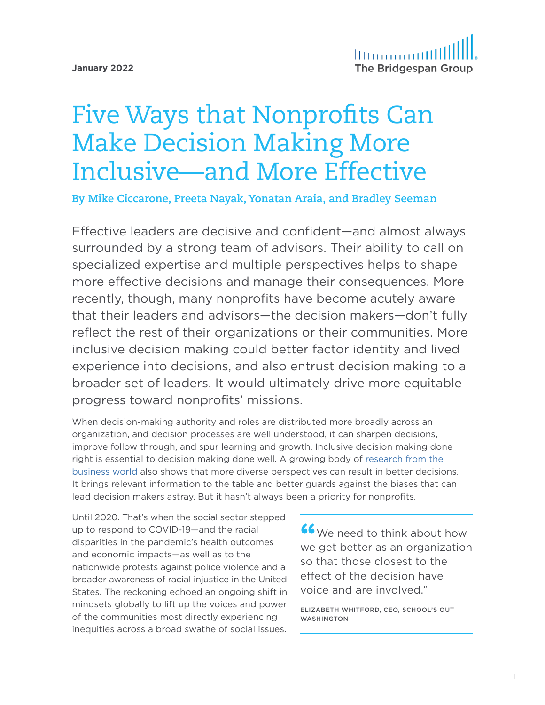**January 2022**

# Five Ways that Nonprofits Can Make Decision Making More Inclusive—and More Effective

**By Mike Ciccarone, Preeta Nayak, Yonatan Araia, and Bradley Seeman**

Effective leaders are decisive and confident—and almost always surrounded by a strong team of advisors. Their ability to call on specialized expertise and multiple perspectives helps to shape more effective decisions and manage their consequences. More recently, though, many nonprofits have become acutely aware that their leaders and advisors—the decision makers—don't fully reflect the rest of their organizations or their communities. More inclusive decision making could better factor identity and lived experience into decisions, and also entrust decision making to a broader set of leaders. It would ultimately drive more equitable progress toward nonprofits' missions.

When decision-making authority and roles are distributed more broadly across an organization, and decision processes are well understood, it can sharpen decisions, improve follow through, and spur learning and growth. Inclusive decision making done right is essential to decision making done well. A growing body of [research from the](https://www.mckinsey.com/featured-insights/diversity-and-inclusion/diversity-wins-how-inclusion-matters)  [business world](https://www.mckinsey.com/featured-insights/diversity-and-inclusion/diversity-wins-how-inclusion-matters) also shows that more diverse perspectives can result in better decisions. It brings relevant information to the table and better guards against the biases that can lead decision makers astray. But it hasn't always been a priority for nonprofits.

Until 2020. That's when the social sector stepped up to respond to COVID-19—and the racial disparities in the pandemic's health outcomes and economic impacts—as well as to the nationwide protests against police violence and a broader awareness of racial injustice in the United States. The reckoning echoed an ongoing shift in mindsets globally to lift up the voices and power of the communities most directly experiencing inequities across a broad swathe of social issues.

**"**We need to think about how we get better as an organization so that those closest to the effect of the decision have voice and are involved."

ELIZABETH WHITFORD, CEO, SCHOOL'S OUT WASHINGTON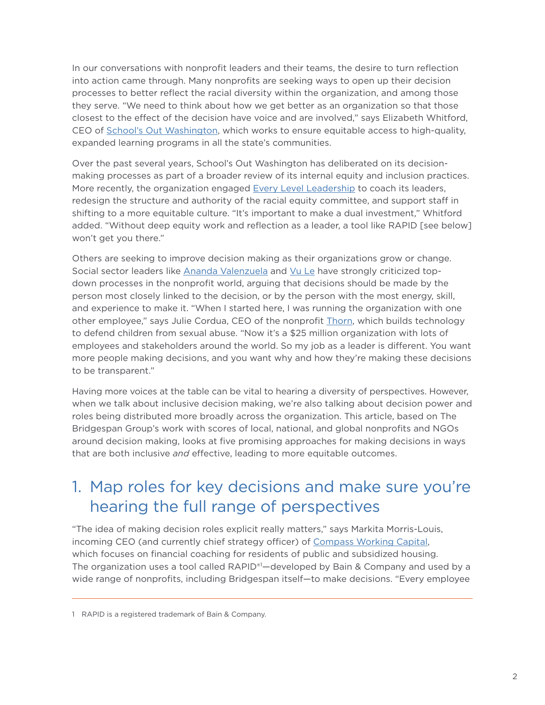In our conversations with nonprofit leaders and their teams, the desire to turn reflection into action came through. Many nonprofits are seeking ways to open up their decision processes to better reflect the racial diversity within the organization, and among those they serve. "We need to think about how we get better as an organization so that those closest to the effect of the decision have voice and are involved," says Elizabeth Whitford, CEO of [School's Out Washington,](https://schoolsoutwashington.org/) which works to ensure equitable access to high-quality, expanded learning programs in all the state's communities.

Over the past several years, School's Out Washington has deliberated on its decisionmaking processes as part of a broader review of its internal equity and inclusion practices. More recently, the organization engaged [Every Level Leadership](https://everylevelleads.com/) to coach its leaders, redesign the structure and authority of the racial equity committee, and support staff in shifting to a more equitable culture. "It's important to make a dual investment," Whitford added. "Without deep equity work and reflection as a leader, a tool like RAPID [see below] won't get you there."

Others are seeking to improve decision making as their organizations grow or change. Social sector leaders like [Ananda Valenzuela](https://rvcseattle.org/2017/09/13/sick-consensus-hierarchical-decision-making-third-way) and [Vu Le](https://nonprofitaf.com/2018/12/our-default-organizational-decision-making-model-is-flawed-heres-an-awesome-alternative) have strongly criticized topdown processes in the nonprofit world, arguing that decisions should be made by the person most closely linked to the decision, or by the person with the most energy, skill, and experience to make it. "When I started here, I was running the organization with one other employee," says Julie Cordua, CEO of the nonprofit *[Thorn](https://www.thorn.org/)*, which builds technology to defend children from sexual abuse. "Now it's a \$25 million organization with lots of employees and stakeholders around the world. So my job as a leader is different. You want more people making decisions, and you want why and how they're making these decisions to be transparent."

Having more voices at the table can be vital to hearing a diversity of perspectives. However, when we talk about inclusive decision making, we're also talking about decision power and roles being distributed more broadly across the organization. This article, based on The Bridgespan Group's work with scores of local, national, and global nonprofits and NGOs around decision making, looks at five promising approaches for making decisions in ways that are both inclusive *and* effective, leading to more equitable outcomes.

### 1. Map roles for key decisions and make sure you're hearing the full range of perspectives

"The idea of making decision roles explicit really matters," says Markita Morris-Louis, incoming CEO (and currently chief strategy officer) of [Compass Working Capital,](https://www.compassworkingcapital.org/) which focuses on financial coaching for residents of public and subsidized housing. The organization uses a tool called RAPID®1 —developed by Bain & Company and used by a wide range of nonprofits, including Bridgespan itself—to make decisions. "Every employee

<sup>1</sup> RAPID is a registered trademark of Bain & Company.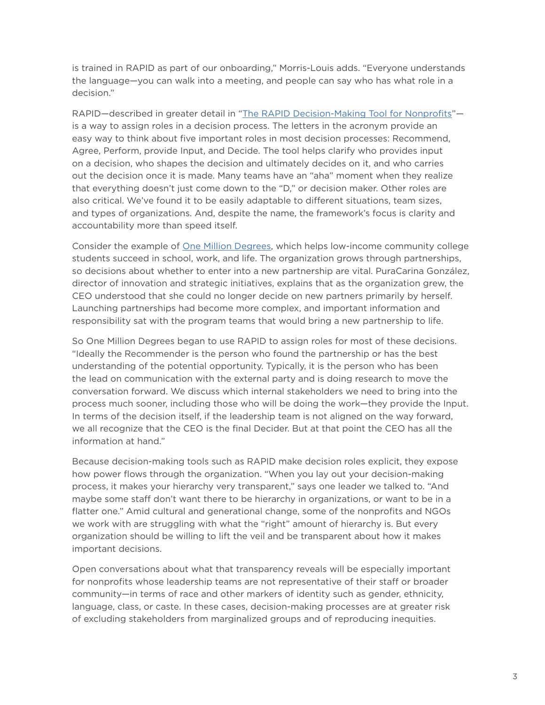is trained in RAPID as part of our onboarding," Morris-Louis adds. "Everyone understands the language—you can walk into a meeting, and people can say who has what role in a decision."

RAPID—described in greater detail in ["The RAPID Decision-Making Tool for Nonprofits"](https://www.bridgespan.org/insights/library/organizational-effectiveness/rapid-decision-making) is a way to assign roles in a decision process. The letters in the acronym provide an easy way to think about five important roles in most decision processes: Recommend, Agree, Perform, provide Input, and Decide. The tool helps clarify who provides input on a decision, who shapes the decision and ultimately decides on it, and who carries out the decision once it is made. Many teams have an "aha" moment when they realize that everything doesn't just come down to the "D," or decision maker. Other roles are also critical. We've found it to be easily adaptable to different situations, team sizes, and types of organizations. And, despite the name, the framework's focus is clarity and accountability more than speed itself.

Consider the example of [One Million Degrees](https://onemilliondegrees.org/), which helps low-income community college students succeed in school, work, and life. The organization grows through partnerships, so decisions about whether to enter into a new partnership are vital. PuraCarina González, director of innovation and strategic initiatives, explains that as the organization grew, the CEO understood that she could no longer decide on new partners primarily by herself. Launching partnerships had become more complex, and important information and responsibility sat with the program teams that would bring a new partnership to life.

So One Million Degrees began to use RAPID to assign roles for most of these decisions. "Ideally the Recommender is the person who found the partnership or has the best understanding of the potential opportunity. Typically, it is the person who has been the lead on communication with the external party and is doing research to move the conversation forward. We discuss which internal stakeholders we need to bring into the process much sooner, including those who will be doing the work—they provide the Input. In terms of the decision itself, if the leadership team is not aligned on the way forward, we all recognize that the CEO is the final Decider. But at that point the CEO has all the information at hand."

Because decision-making tools such as RAPID make decision roles explicit, they expose how power flows through the organization. "When you lay out your decision-making process, it makes your hierarchy very transparent," says one leader we talked to. "And maybe some staff don't want there to be hierarchy in organizations, or want to be in a flatter one." Amid cultural and generational change, some of the nonprofits and NGOs we work with are struggling with what the "right" amount of hierarchy is. But every organization should be willing to lift the veil and be transparent about how it makes important decisions.

Open conversations about what that transparency reveals will be especially important for nonprofits whose leadership teams are not representative of their staff or broader community—in terms of race and other markers of identity such as gender, ethnicity, language, class, or caste. In these cases, decision-making processes are at greater risk of excluding stakeholders from marginalized groups and of reproducing inequities.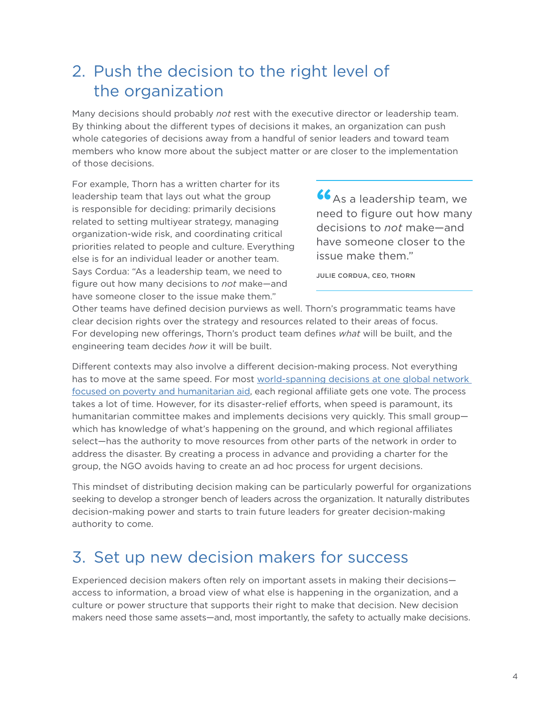## 2. Push the decision to the right level of the organization

Many decisions should probably *not* rest with the executive director or leadership team. By thinking about the different types of decisions it makes, an organization can push whole categories of decisions away from a handful of senior leaders and toward team members who know more about the subject matter or are closer to the implementation of those decisions.

For example, Thorn has a written charter for its leadership team that lays out what the group is responsible for deciding: primarily decisions related to setting multiyear strategy, managing organization-wide risk, and coordinating critical priorities related to people and culture. Everything else is for an individual leader or another team. Says Cordua: "As a leadership team, we need to figure out how many decisions to *not* make—and have someone closer to the issue make them."

**"**As a leadership team, we need to figure out how many decisions to *not* make—and have someone closer to the issue make them."

JULIE CORDUA, CEO, THORN

Other teams have defined decision purviews as well. Thorn's programmatic teams have clear decision rights over the strategy and resources related to their areas of focus. For developing new offerings, Thorn's product team defines *what* will be built, and the engineering team decides *how* it will be built.

Different contexts may also involve a different decision-making process. Not everything has to move at the same speed. For most world-spanning decisions at one global network [focused on poverty and humanitarian aid,](https://www.bridgespan.org/insights/library/organizational-effectiveness/speeding-up-nonprofit-network-decision-making) each regional affiliate gets one vote. The process takes a lot of time. However, for its disaster-relief efforts, when speed is paramount, its humanitarian committee makes and implements decisions very quickly. This small group which has knowledge of what's happening on the ground, and which regional affiliates select—has the authority to move resources from other parts of the network in order to address the disaster. By creating a process in advance and providing a charter for the group, the NGO avoids having to create an ad hoc process for urgent decisions.

This mindset of distributing decision making can be particularly powerful for organizations seeking to develop a stronger bench of leaders across the organization. It naturally distributes decision-making power and starts to train future leaders for greater decision-making authority to come.

#### 3. Set up new decision makers for success

Experienced decision makers often rely on important assets in making their decisions access to information, a broad view of what else is happening in the organization, and a culture or power structure that supports their right to make that decision. New decision makers need those same assets—and, most importantly, the safety to actually make decisions.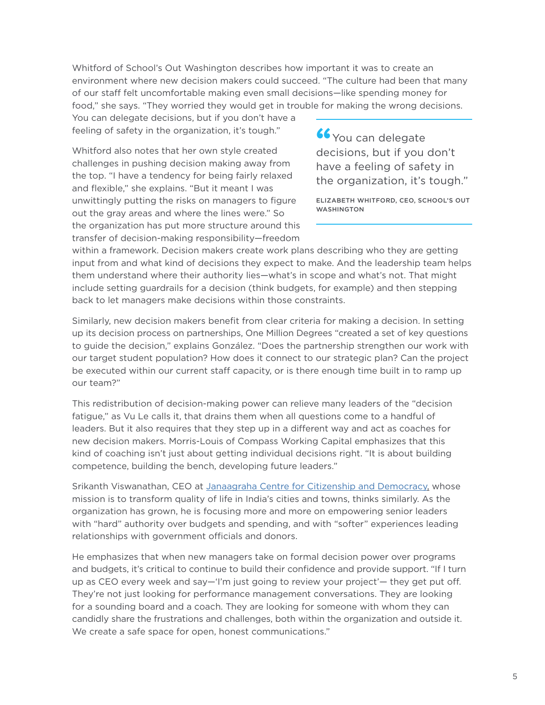Whitford of School's Out Washington describes how important it was to create an environment where new decision makers could succeed. "The culture had been that many of our staff felt uncomfortable making even small decisions—like spending money for food," she says. "They worried they would get in trouble for making the wrong decisions.

You can delegate decisions, but if you don't have a feeling of safety in the organization, it's tough."

Whitford also notes that her own style created challenges in pushing decision making away from the top. "I have a tendency for being fairly relaxed and flexible," she explains. "But it meant I was unwittingly putting the risks on managers to figure out the gray areas and where the lines were." So the organization has put more structure around this transfer of decision-making responsibility—freedom

**"**You can delegate decisions, but if you don't have a feeling of safety in the organization, it's tough."

ELIZABETH WHITFORD, CEO, SCHOOL'S OUT WASHINGTON

within a framework. Decision makers create work plans describing who they are getting input from and what kind of decisions they expect to make. And the leadership team helps them understand where their authority lies—what's in scope and what's not. That might include setting guardrails for a decision (think budgets, for example) and then stepping back to let managers make decisions within those constraints.

Similarly, new decision makers benefit from clear criteria for making a decision. In setting up its decision process on partnerships, One Million Degrees "created a set of key questions to guide the decision," explains González. "Does the partnership strengthen our work with our target student population? How does it connect to our strategic plan? Can the project be executed within our current staff capacity, or is there enough time built in to ramp up our team?"

This redistribution of decision-making power can relieve many leaders of the "decision fatigue," as Vu Le calls it, that drains them when all questions come to a handful of leaders. But it also requires that they step up in a different way and act as coaches for new decision makers. Morris-Louis of Compass Working Capital emphasizes that this kind of coaching isn't just about getting individual decisions right. "It is about building competence, building the bench, developing future leaders."

Srikanth Viswanathan, CEO at [Janaagraha Centre for Citizenship and Democracy](https://www.janaagraha.org/home/), whose mission is to transform quality of life in India's cities and towns, thinks similarly. As the organization has grown, he is focusing more and more on empowering senior leaders with "hard" authority over budgets and spending, and with "softer" experiences leading relationships with government officials and donors.

He emphasizes that when new managers take on formal decision power over programs and budgets, it's critical to continue to build their confidence and provide support. "If I turn up as CEO every week and say—'I'm just going to review your project'— they get put off. They're not just looking for performance management conversations. They are looking for a sounding board and a coach. They are looking for someone with whom they can candidly share the frustrations and challenges, both within the organization and outside it. We create a safe space for open, honest communications."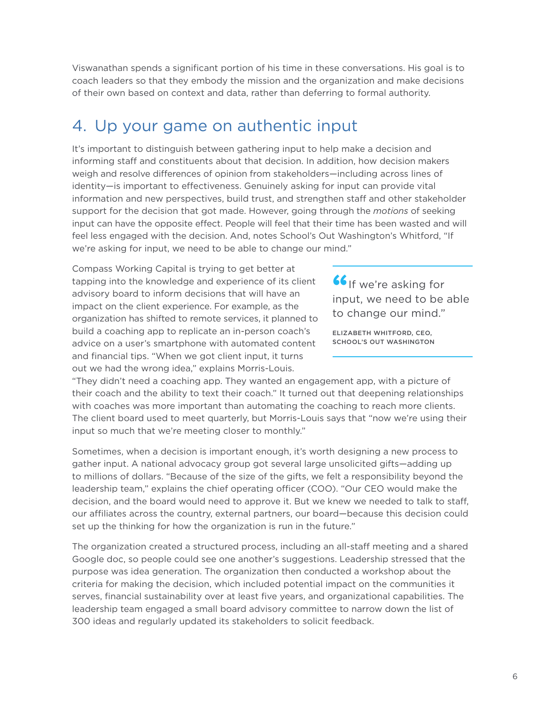Viswanathan spends a significant portion of his time in these conversations. His goal is to coach leaders so that they embody the mission and the organization and make decisions of their own based on context and data, rather than deferring to formal authority.

#### 4. Up your game on authentic input

It's important to distinguish between gathering input to help make a decision and informing staff and constituents about that decision. In addition, how decision makers weigh and resolve differences of opinion from stakeholders—including across lines of identity—is important to effectiveness. Genuinely asking for input can provide vital information and new perspectives, build trust, and strengthen staff and other stakeholder support for the decision that got made. However, going through the *motions* of seeking input can have the opposite effect. People will feel that their time has been wasted and will feel less engaged with the decision. And, notes School's Out Washington's Whitford, "If we're asking for input, we need to be able to change our mind."

Compass Working Capital is trying to get better at tapping into the knowledge and experience of its client advisory board to inform decisions that will have an impact on the client experience. For example, as the organization has shifted to remote services, it planned to build a coaching app to replicate an in-person coach's advice on a user's smartphone with automated content and financial tips. "When we got client input, it turns out we had the wrong idea," explains Morris-Louis.

**"**If we're asking for input, we need to be able to change our mind."

ELIZABETH WHITFORD, CEO, SCHOOL'S OUT WASHINGTON

"They didn't need a coaching app. They wanted an engagement app, with a picture of their coach and the ability to text their coach." It turned out that deepening relationships with coaches was more important than automating the coaching to reach more clients. The client board used to meet quarterly, but Morris-Louis says that "now we're using their input so much that we're meeting closer to monthly."

Sometimes, when a decision is important enough, it's worth designing a new process to gather input. A national advocacy group got several large unsolicited gifts—adding up to millions of dollars. "Because of the size of the gifts, we felt a responsibility beyond the leadership team," explains the chief operating officer (COO). "Our CEO would make the decision, and the board would need to approve it. But we knew we needed to talk to staff, our affiliates across the country, external partners, our board—because this decision could set up the thinking for how the organization is run in the future."

The organization created a structured process, including an all-staff meeting and a shared Google doc, so people could see one another's suggestions. Leadership stressed that the purpose was idea generation. The organization then conducted a workshop about the criteria for making the decision, which included potential impact on the communities it serves, financial sustainability over at least five years, and organizational capabilities. The leadership team engaged a small board advisory committee to narrow down the list of 300 ideas and regularly updated its stakeholders to solicit feedback.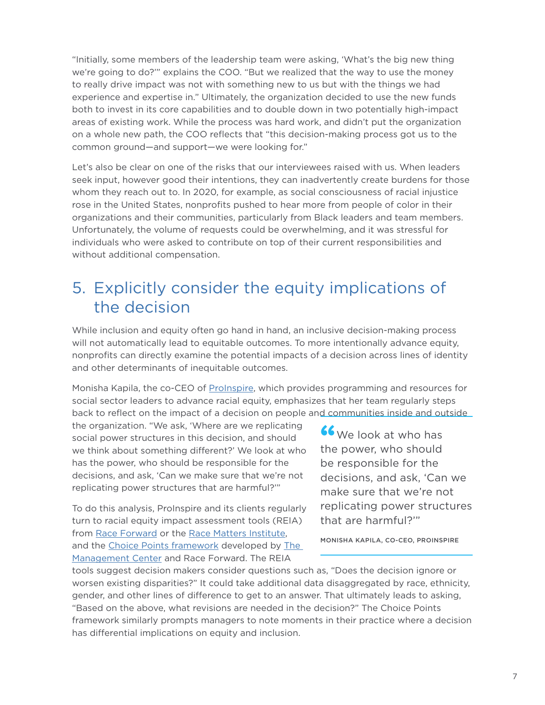"Initially, some members of the leadership team were asking, 'What's the big new thing we're going to do?'" explains the COO. "But we realized that the way to use the money to really drive impact was not with something new to us but with the things we had experience and expertise in." Ultimately, the organization decided to use the new funds both to invest in its core capabilities and to double down in two potentially high-impact areas of existing work. While the process was hard work, and didn't put the organization on a whole new path, the COO reflects that "this decision-making process got us to the common ground—and support—we were looking for."

Let's also be clear on one of the risks that our interviewees raised with us. When leaders seek input, however good their intentions, they can inadvertently create burdens for those whom they reach out to. In 2020, for example, as social consciousness of racial injustice rose in the United States, nonprofits pushed to hear more from people of color in their organizations and their communities, particularly from Black leaders and team members. Unfortunately, the volume of requests could be overwhelming, and it was stressful for individuals who were asked to contribute on top of their current responsibilities and without additional compensation.

### 5. Explicitly consider the equity implications of the decision

While inclusion and equity often go hand in hand, an inclusive decision-making process will not automatically lead to equitable outcomes. To more intentionally advance equity, nonprofits can directly examine the potential impacts of a decision across lines of identity and other determinants of inequitable outcomes.

Monisha Kapila, the co-CEO of [ProInspire,](https://www.proinspire.org/) which provides programming and resources for social sector leaders to advance racial equity, emphasizes that her team regularly steps back to reflect on the impact of a decision on people and communities inside and outside

the organization. "We ask, 'Where are we replicating social power structures in this decision, and should we think about something different?' We look at who has the power, who should be responsible for the decisions, and ask, 'Can we make sure that we're not replicating power structures that are harmful?'"

To do this analysis, ProInspire and its clients regularly turn to racial equity impact assessment tools (REIA) from [Race Forward](https://www.raceforward.org/practice/tools/racial-equity-impact-assessment-toolkit) or the [Race Matters Institute,](https://viablefuturescenter.org/racemattersinstitute/resources/racial-equity-impact-analysis/) and the [Choice Points framework](https://www.managementcenter.org/resources/using-choice-points-to-advance-racial-equity-and-inclusion-case-studies/) developed by The [Management Center](https://www.managementcenter.org/) and Race Forward. The REIA

**"**We look at who has the power, who should be responsible for the decisions, and ask, 'Can we make sure that we're not replicating power structures that are harmful?'"

MONISHA KAPILA, CO-CEO, PROINSPIRE

tools suggest decision makers consider questions such as, "Does the decision ignore or worsen existing disparities?" It could take additional data disaggregated by race, ethnicity, gender, and other lines of difference to get to an answer. That ultimately leads to asking, "Based on the above, what revisions are needed in the decision?" The Choice Points framework similarly prompts managers to note moments in their practice where a decision has differential implications on equity and inclusion.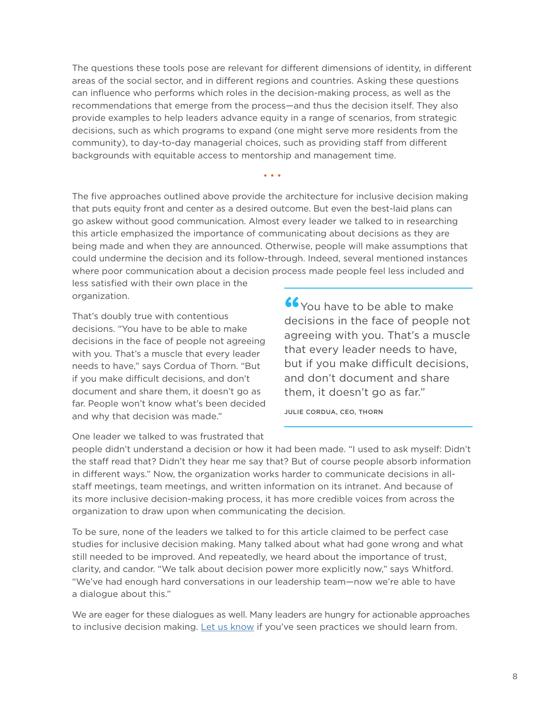The questions these tools pose are relevant for different dimensions of identity, in different areas of the social sector, and in different regions and countries. Asking these questions can influence who performs which roles in the decision-making process, as well as the recommendations that emerge from the process—and thus the decision itself. They also provide examples to help leaders advance equity in a range of scenarios, from strategic decisions, such as which programs to expand (one might serve more residents from the community), to day-to-day managerial choices, such as providing staff from different backgrounds with equitable access to mentorship and management time.

The five approaches outlined above provide the architecture for inclusive decision making that puts equity front and center as a desired outcome. But even the best-laid plans can go askew without good communication. Almost every leader we talked to in researching this article emphasized the importance of communicating about decisions as they are being made and when they are announced. Otherwise, people will make assumptions that could undermine the decision and its follow-through. Indeed, several mentioned instances where poor communication about a decision process made people feel less included and

• • •

less satisfied with their own place in the organization.

That's doubly true with contentious decisions. "You have to be able to make decisions in the face of people not agreeing with you. That's a muscle that every leader needs to have," says Cordua of Thorn. "But if you make difficult decisions, and don't document and share them, it doesn't go as far. People won't know what's been decided and why that decision was made."

**"**You have to be able to make decisions in the face of people not agreeing with you. That's a muscle that every leader needs to have, but if you make difficult decisions, and don't document and share them, it doesn't go as far."

JULIE CORDUA, CEO, THORN

One leader we talked to was frustrated that

people didn't understand a decision or how it had been made. "I used to ask myself: Didn't the staff read that? Didn't they hear me say that? But of course people absorb information in different ways." Now, the organization works harder to communicate decisions in allstaff meetings, team meetings, and written information on its intranet. And because of its more inclusive decision-making process, it has more credible voices from across the organization to draw upon when communicating the decision.

To be sure, none of the leaders we talked to for this article claimed to be perfect case studies for inclusive decision making. Many talked about what had gone wrong and what still needed to be improved. And repeatedly, we heard about the importance of trust, clarity, and candor. "We talk about decision power more explicitly now," says Whitford. "We've had enough hard conversations in our leadership team—now we're able to have a dialogue about this."

We are eager for these dialogues as well. Many leaders are hungry for actionable approaches to inclusive decision making. [Let us know](https://www.bridgespan.org/insights/library/organizational-effectiveness/5-ways-nonprofits-make-decision-making-inclusive#letusknow) if you've seen practices we should learn from.